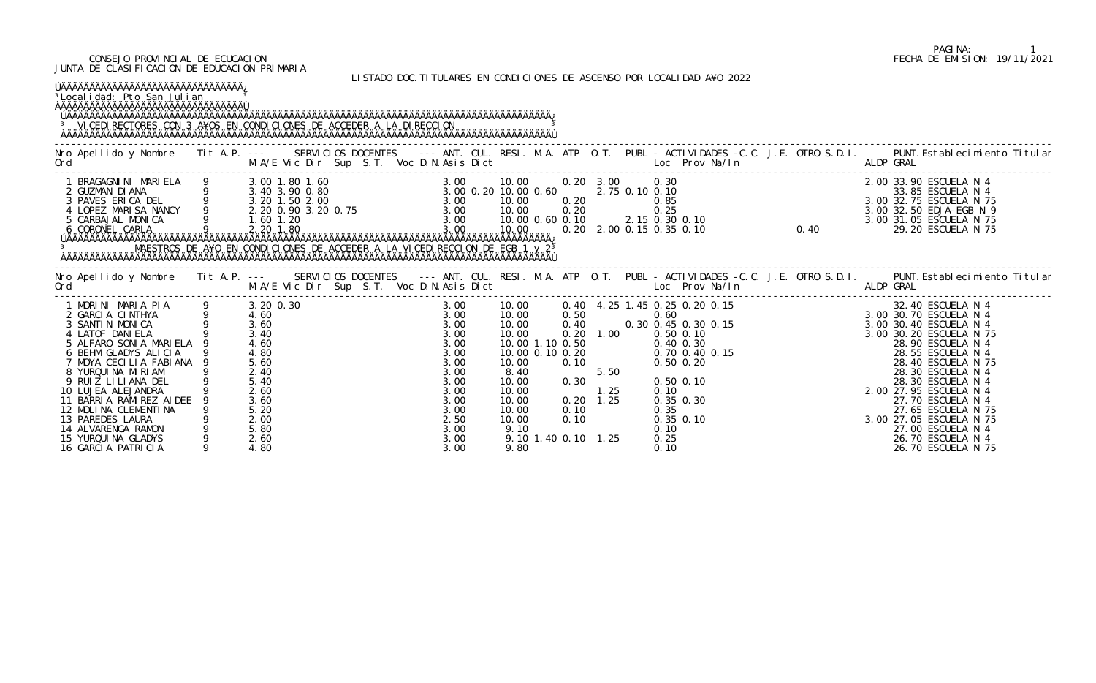### CONSEJO PROVINCIAL DE ECUCACION FECHA DE EMISION: 19/11/2021 JUNTA DE CLASIFICACION DE EDUCACION PRIMARIA

## LISTADO DOC.TITULARES EN CONDICIONES DE ASCENSO POR LOCALIDAD A¥O 2022

| ÚÄÄÄÄÄÄÄÄÄÄÄÄÄÄÄÄÄÄÄÄÄÄÄÄÄÄÄÄÄÄÄÄÄÄÄÄ<br><sup>3</sup> Local i dad: Pto San Julian<br>ÀÄÄÄÄÄÄÄÄÄÄÄÄÄÄÄÄÄÄÄÄÄÄÄÄÄÄÄÄÄÄÄÄÄ<br><sup>3</sup> VICEDI RECTORES CON 3 A¥OS EN CONDICIONES DE ACCEDER A LA DIRECCION                                                                                                                                                                                          |                                                                                                  |                                                                                                                              |                                                                                                 |                           |                                                                                                                                                                                                                                                    |                                                                                                                                                                                                                                   |
|------------------------------------------------------------------------------------------------------------------------------------------------------------------------------------------------------------------------------------------------------------------------------------------------------------------------------------------------------------------------------------------------------|--------------------------------------------------------------------------------------------------|------------------------------------------------------------------------------------------------------------------------------|-------------------------------------------------------------------------------------------------|---------------------------|----------------------------------------------------------------------------------------------------------------------------------------------------------------------------------------------------------------------------------------------------|-----------------------------------------------------------------------------------------------------------------------------------------------------------------------------------------------------------------------------------|
|                                                                                                                                                                                                                                                                                                                                                                                                      |                                                                                                  |                                                                                                                              |                                                                                                 |                           |                                                                                                                                                                                                                                                    | Nro Apellido y Nombre Tit A.P. --- SERVICIOS DOCENTES --- ANT. CUL. RESI. M.A. ATP O.T. PUBL - ACTIVIDADES -C.C. J.E. OTRO S.D.I. PUNT.Establecimiento Titular<br>Ord M.A/E Vic Dir Sup S.T. Voc D.N.Asis Dict Loc Prov Na/In ALD |
| 1 BRAGAGNINI MARIELA 9 3.00 1.80 1.60<br>2 GUZMAN DIANA 9 3.40 3.90 0.80<br>3 PAVES ERICA DEL 9 3.20 1.50 2.00<br>4 LOPEZ MARISA NANCY 9 2.20 0.90 3.20 0.75 3.00 10.00 0.60 2.75 0.10 0.10<br>5 CARBAJAL MONICA 9 1.60 1.20<br>4 CORONE                                                                                                                                                             |                                                                                                  |                                                                                                                              |                                                                                                 |                           | 0. 20 3. 00 0. 30 0. 30<br>0. 20 3. 00 0. 10<br>0. 20 0. 35<br>0. 20 0. 25<br>0. 20 0. 25<br>0. 20 0. 15 0. 30 0. 10<br>0. 20 0. 15 0. 30 0. 10<br>0. 20 3. 00 32. 75 ESCUELA N 75<br>3. 00 32. 75 ESCUELA N 75<br>3. 00 32. 50 EDJA-EGB N 9<br>3. |                                                                                                                                                                                                                                   |
| Ord                                                                                                                                                                                                                                                                                                                                                                                                  |                                                                                                  |                                                                                                                              |                                                                                                 |                           | M.A/E Vic Dir Sup S.T. Voc D.N.Asis Dict Loc Prov Na/In ALDP GRAL                                                                                                                                                                                  | Nro Apellido y Nombre Tit A.P. --- SERVICIOS DOCENTES --- ANT. CUL. RESI. M.A. ATP O.T. PUBL - ACTIVIDADES -C.C. J.E. OTRO S.D.I. PUNT. Establecimiento Titular                                                                   |
| 1 MORINI MARIA PIA 9 3.200.30<br>2 GARCIA CINTHYA 9 4.60<br>3 SANTIN MONICA 9 3.60<br>4 LATOF DANIELA 9 3.40<br>5 ALFARO SONIA MARIELA 9<br>6 BEHM GLADYS ALICIA<br>7 MOYA CECILIA FABIANA<br>8 YURQUINA MIRIAM<br>9 RUIZ LILIANA DEL<br>10 LUJEA ALEJANDRA<br>11 BARRIA RAMIREZ AIDEE<br>12 MOLINA CLEMENTINA<br>13 PAREDES LAURA<br>14 ALVARENGA RAMON<br>15 YURQUINA GLADYS<br>16 GARCIA PATRICIA | 4.60<br>4.80<br>$5.60$<br>$2.40$<br>5.40<br>2.60<br>3.60<br>5.20<br>2.00<br>5.80<br>2.60<br>4.80 | 3.00<br>3.00<br>3.00<br>3.00<br>3.00<br>3.00<br>3.00<br>3.00<br>3.00<br>3.00<br>3.00<br>3.00<br>2.50<br>3.00<br>3.00<br>3.00 | 0.30<br>10.00<br>10.00<br>10.00<br>0.10<br>0.10<br>10.00<br>9.10<br>9.10 1.40 0.10 1.25<br>9.80 | 1.25<br>$0.20 \quad 1.25$ | 0.10<br>0.35 0.30<br>0.35<br>0.35 0.10<br>0.10<br>0.25<br>0.10                                                                                                                                                                                     | 28.30 ESCUELA N 4<br>2.00 27.95 ESCUELA N 4<br>27.70 ESCUELA N 4<br>27.65 ESCUELA N 75<br>3.00 27.05 ESCUELA N 75<br>27.00 ESCUELA N 4<br>26.70 ESCUELA N 4<br>26.70 ESCUELA N 75                                                 |

# PAGINA: 1<br>FECHA DE EMISION: 19/11/2021